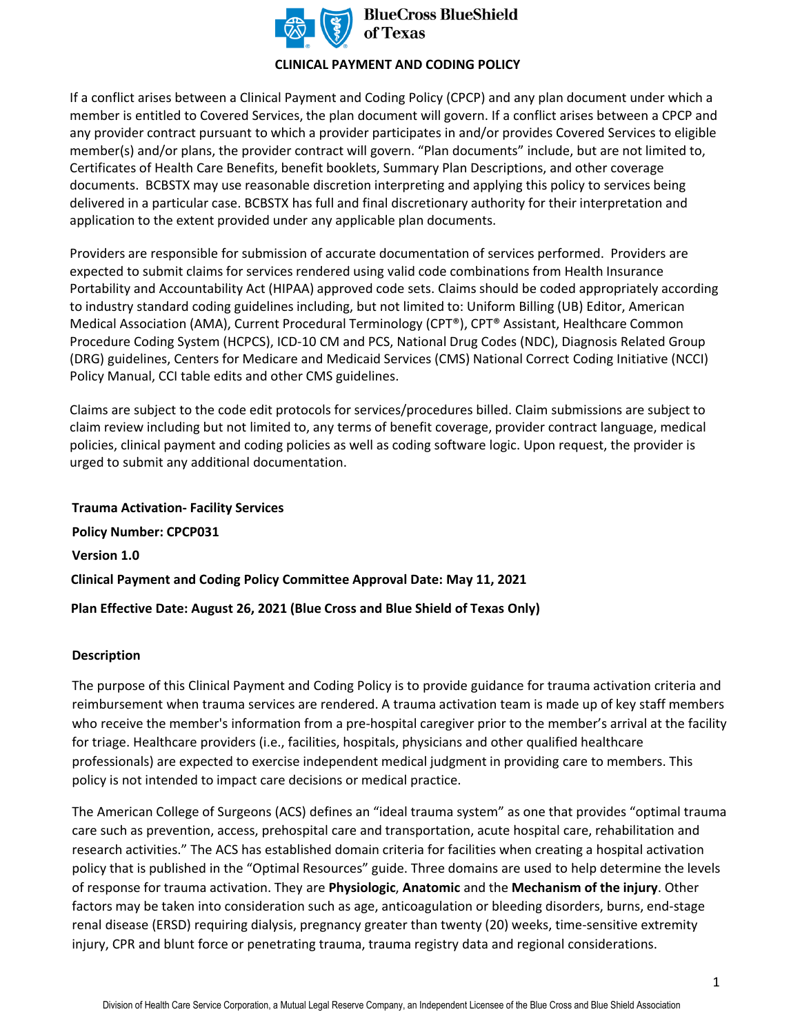

**BlueCross BlueShield** 

### **CLINICAL PAYMENT AND CODING POLICY**

If a conflict arises between a Clinical Payment and Coding Policy (CPCP) and any plan document under which a member is entitled to Covered Services, the plan document will govern. If a conflict arises between a CPCP and any provider contract pursuant to which a provider participates in and/or provides Covered Services to eligible member(s) and/or plans, the provider contract will govern. "Plan documents" include, but are not limited to, Certificates of Health Care Benefits, benefit booklets, Summary Plan Descriptions, and other coverage documents. BCBSTX may use reasonable discretion interpreting and applying this policy to services being delivered in a particular case. BCBSTX has full and final discretionary authority for their interpretation and application to the extent provided under any applicable plan documents.

Providers are responsible for submission of accurate documentation of services performed. Providers are expected to submit claims for services rendered using valid code combinations from Health Insurance Portability and Accountability Act (HIPAA) approved code sets. Claims should be coded appropriately according to industry standard coding guidelines including, but not limited to: Uniform Billing (UB) Editor, American Medical Association (AMA), Current Procedural Terminology (CPT®), CPT® Assistant, Healthcare Common Procedure Coding System (HCPCS), ICD-10 CM and PCS, National Drug Codes (NDC), Diagnosis Related Group (DRG) guidelines, Centers for Medicare and Medicaid Services (CMS) National Correct Coding Initiative (NCCI) Policy Manual, CCI table edits and other CMS guidelines.

Claims are subject to the code edit protocols for services/procedures billed. Claim submissions are subject to claim review including but not limited to, any terms of benefit coverage, provider contract language, medical policies, clinical payment and coding policies as well as coding software logic. Upon request, the provider is urged to submit any additional documentation.

**Trauma Activation- Facility Services Policy Number: CPCP031 Version 1.0 Clinical Payment and Coding Policy Committee Approval Date: May 11, 2021 Plan Effective Date: August 26, 2021 (Blue Cross and Blue Shield of Texas Only)**

### **Description**

The purpose of this Clinical Payment and Coding Policy is to provide guidance for trauma activation criteria and reimbursement when trauma services are rendered. A trauma activation team is made up of key staff members who receive the member's information from a pre-hospital caregiver prior to the member's arrival at the facility for triage. Healthcare providers (i.e., facilities, hospitals, physicians and other qualified healthcare professionals) are expected to exercise independent medical judgment in providing care to members. This policy is not intended to impact care decisions or medical practice.

The American College of Surgeons (ACS) defines an "ideal trauma system" as one that provides "optimal trauma care such as prevention, access, prehospital care and transportation, acute hospital care, rehabilitation and research activities." The ACS has established domain criteria for facilities when creating a hospital activation policy that is published in the "Optimal Resources" guide. Three domains are used to help determine the levels of response for trauma activation. They are **Physiologic**, **Anatomic** and the **Mechanism of the injury**. Other factors may be taken into consideration such as age, anticoagulation or bleeding disorders, burns, end-stage renal disease (ERSD) requiring dialysis, pregnancy greater than twenty (20) weeks, time-sensitive extremity injury, CPR and blunt force or penetrating trauma, trauma registry data and regional considerations.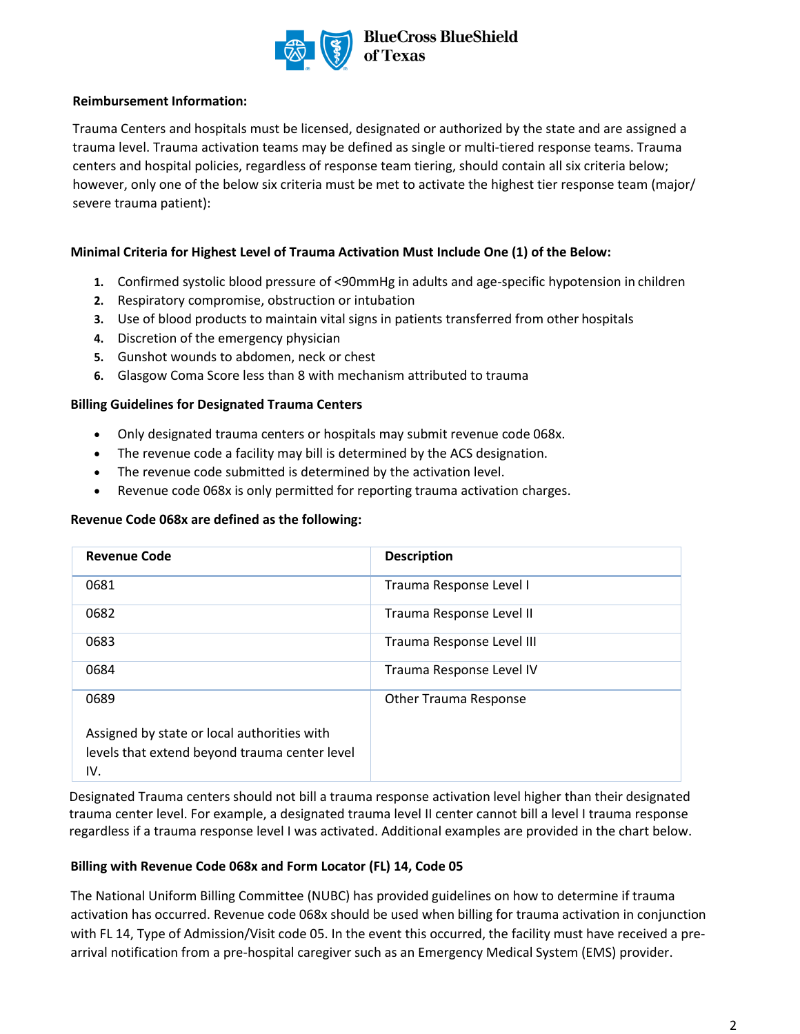

### **Reimbursement Information:**

Trauma Centers and hospitals must be licensed, designated or authorized by the state and are assigned a trauma level. Trauma activation teams may be defined as single or multi-tiered response teams. Trauma centers and hospital policies, regardless of response team tiering, should contain all six criteria below; however, only one of the below six criteria must be met to activate the highest tier response team (major/ severe trauma patient):

## **Minimal Criteria for Highest Level of Trauma Activation Must Include One (1) of the Below:**

- **1.** Confirmed systolic blood pressure of <90mmHg in adults and age-specific hypotension in children
- **2.** Respiratory compromise, obstruction or intubation
- **3.** Use of blood products to maintain vital signs in patients transferred from other hospitals
- **4.** Discretion of the emergency physician
- **5.** Gunshot wounds to abdomen, neck or chest
- **6.** Glasgow Coma Score less than 8 with mechanism attributed to trauma

## **Billing Guidelines for Designated Trauma Centers**

- Only designated trauma centers or hospitals may submit revenue code 068x.
- The revenue code a facility may bill is determined by the ACS designation.
- The revenue code submitted is determined by the activation level.
- Revenue code 068x is only permitted for reporting trauma activation charges.

### **Revenue Code 068x are defined as the following:**

| <b>Revenue Code</b>                           | <b>Description</b>           |
|-----------------------------------------------|------------------------------|
| 0681                                          | Trauma Response Level I      |
| 0682                                          | Trauma Response Level II     |
| 0683                                          | Trauma Response Level III    |
| 0684                                          | Trauma Response Level IV     |
| 0689                                          | <b>Other Trauma Response</b> |
| Assigned by state or local authorities with   |                              |
| levels that extend beyond trauma center level |                              |
| IV.                                           |                              |

Designated Trauma centers should not bill a trauma response activation level higher than their designated trauma center level. For example, a designated trauma level II center cannot bill a level I trauma response regardless if a trauma response level I was activated. Additional examples are provided in the chart below.

## **Billing with Revenue Code 068x and Form Locator (FL) 14, Code 05**

The National Uniform Billing Committee (NUBC) has provided guidelines on how to determine if trauma activation has occurred. Revenue code 068x should be used when billing for trauma activation in conjunction with FL 14, Type of Admission/Visit code 05. In the event this occurred, the facility must have received a prearrival notification from a pre-hospital caregiver such as an Emergency Medical System (EMS) provider.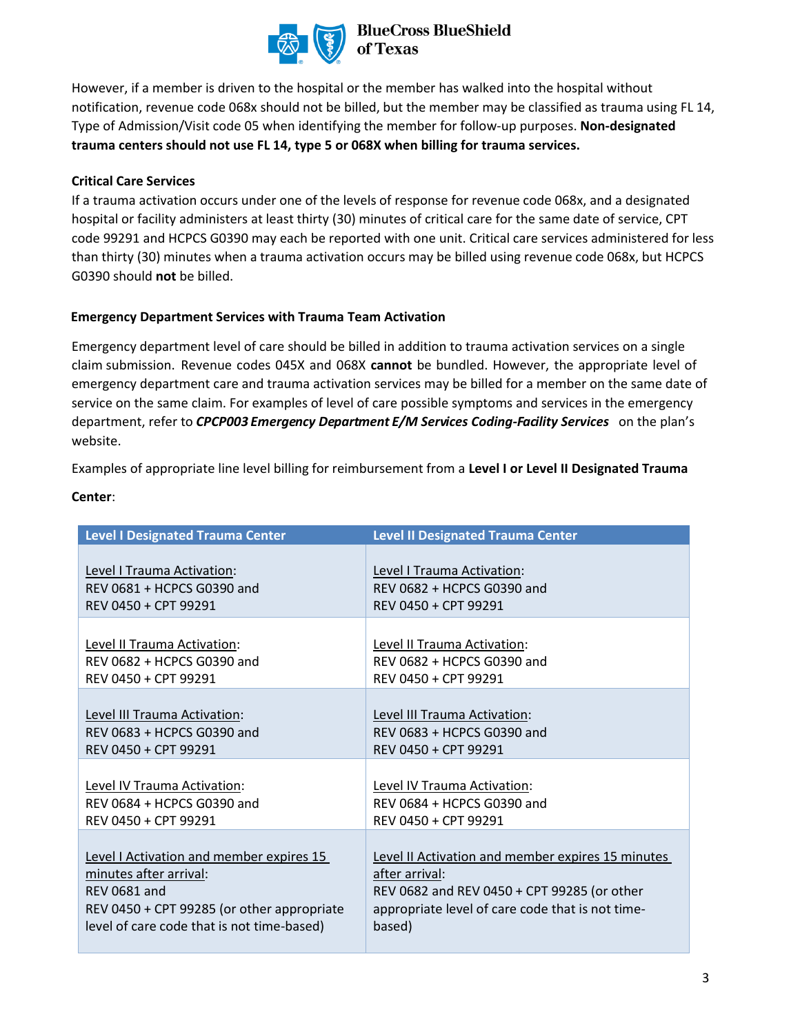

# **BlueCross BlueShield<br>of Texas**

However, if a member is driven to the hospital or the member has walked into the hospital without notification, revenue code 068x should not be billed, but the member may be classified as trauma using FL 14, Type of Admission/Visit code 05 when identifying the member for follow-up purposes. **Non-designated trauma centers should not use FL 14, type 5 or 068X when billing for trauma services.** 

# **Critical Care Services**

If a trauma activation occurs under one of the levels of response for revenue code 068x, and a designated hospital or facility administers at least thirty (30) minutes of critical care for the same date of service, CPT code 99291 and HCPCS G0390 may each be reported with one unit. Critical care services administered for less than thirty (30) minutes when a trauma activation occurs may be billed using revenue code 068x, but HCPCS G0390 should **not** be billed.

## **Emergency Department Services with Trauma Team Activation**

Emergency department level of care should be billed in addition to trauma activation services on a single claim submission. Revenue codes 045X and 068X **cannot** be bundled. However, the appropriate level of emergency department care and trauma activation services may be billed for a member on the same date of service on the same claim. For examples of level of care possible symptoms and services in the emergency department, refer to *CPCP003 Emergency Department E/M Services Coding-Facility Services* on the plan's website.

Examples of appropriate line level billing for reimbursement from a **Level I or Level II Designated Trauma** 

| <b>Level I Designated Trauma Center</b>    | <b>Level II Designated Trauma Center</b>                 |
|--------------------------------------------|----------------------------------------------------------|
| Level I Trauma Activation:                 | Level I Trauma Activation:                               |
| REV 0681 + HCPCS G0390 and                 | REV 0682 + HCPCS G0390 and                               |
| REV 0450 + CPT 99291                       | REV 0450 + CPT 99291                                     |
| Level II Trauma Activation:                | Level II Trauma Activation:                              |
| REV 0682 + HCPCS G0390 and                 | REV 0682 + HCPCS G0390 and                               |
| REV 0450 + CPT 99291                       | REV 0450 + CPT 99291                                     |
| Level III Trauma Activation:               | Level III Trauma Activation:                             |
| REV 0683 + HCPCS G0390 and                 | REV 0683 + HCPCS G0390 and                               |
| REV 0450 + CPT 99291                       | REV 0450 + CPT 99291                                     |
| Level IV Trauma Activation:                | Level IV Trauma Activation:                              |
| REV 0684 + HCPCS G0390 and                 | REV 0684 + HCPCS G0390 and                               |
| REV 0450 + CPT 99291                       | REV 0450 + CPT 99291                                     |
| Level I Activation and member expires 15   | <b>Level II Activation and member expires 15 minutes</b> |
| minutes after arrival:                     | after arrival:                                           |
| <b>REV 0681 and</b>                        | REV 0682 and REV 0450 + CPT 99285 (or other              |
| REV 0450 + CPT 99285 (or other appropriate | appropriate level of care code that is not time-         |
| level of care code that is not time-based) | based)                                                   |

## **Center**: